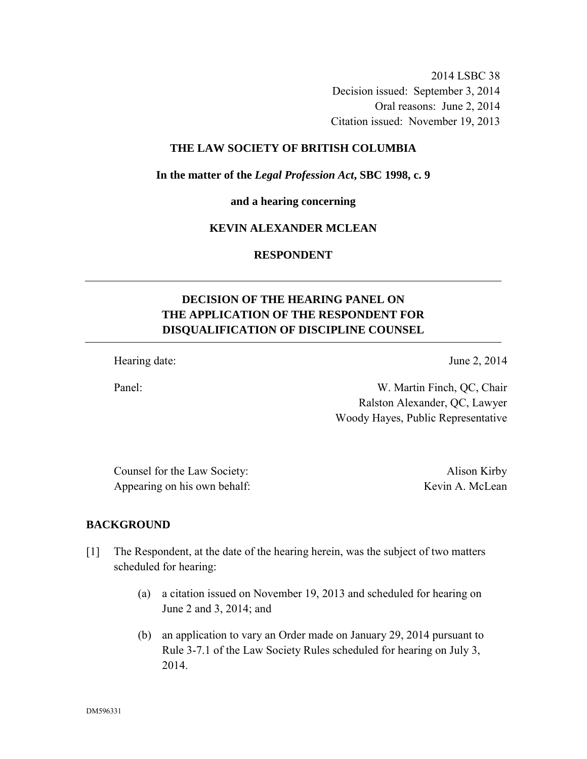2014 LSBC 38 Decision issued: September 3, 2014 Oral reasons: June 2, 2014

Citation issued: November 19, 2013

#### **THE LAW SOCIETY OF BRITISH COLUMBIA**

**In the matter of the** *Legal Profession Act***, SBC 1998, c. 9** 

**and a hearing concerning** 

#### **KEVIN ALEXANDER MCLEAN**

**RESPONDENT** 

# **DECISION OF THE HEARING PANEL ON THE APPLICATION OF THE RESPONDENT FOR DISQUALIFICATION OF DISCIPLINE COUNSEL**

Hearing date: June 2, 2014

Panel: W. Martin Finch, QC, Chair Ralston Alexander, QC, Lawyer

Woody Hayes, Public Representative

Counsel for the Law Society: Alison Kirby Appearing on his own behalf: Kevin A. McLean

## **BACKGROUND**

- [1] The Respondent, at the date of the hearing herein, was the subject of two matters scheduled for hearing:
	- (a) a citation issued on November 19, 2013 and scheduled for hearing on June 2 and 3, 2014; and
	- (b) an application to vary an Order made on January 29, 2014 pursuant to Rule 3-7.1 of the Law Society Rules scheduled for hearing on July 3, 2014.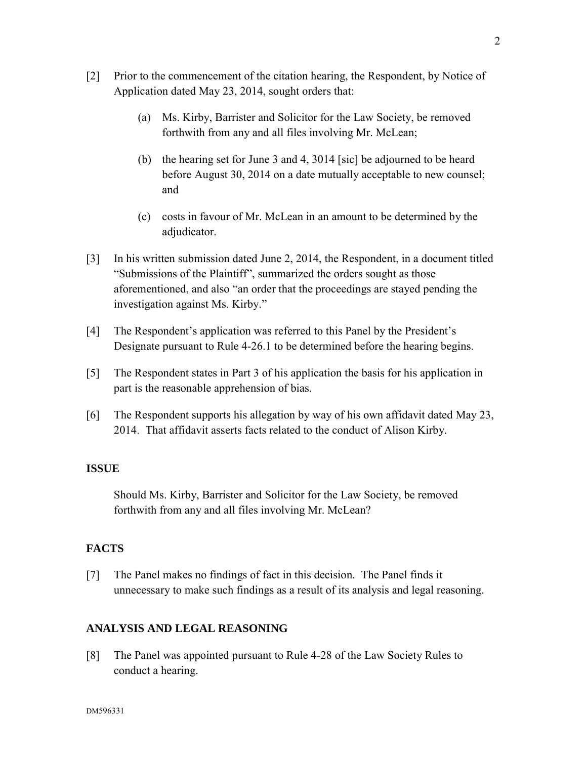- [2] Prior to the commencement of the citation hearing, the Respondent, by Notice of Application dated May 23, 2014, sought orders that:
	- (a) Ms. Kirby, Barrister and Solicitor for the Law Society, be removed forthwith from any and all files involving Mr. McLean;
	- (b) the hearing set for June 3 and 4, 3014 [sic] be adjourned to be heard before August 30, 2014 on a date mutually acceptable to new counsel; and
	- (c) costs in favour of Mr. McLean in an amount to be determined by the adjudicator.
- [3] In his written submission dated June 2, 2014, the Respondent, in a document titled "Submissions of the Plaintiff", summarized the orders sought as those aforementioned, and also "an order that the proceedings are stayed pending the investigation against Ms. Kirby."
- [4] The Respondent's application was referred to this Panel by the President's Designate pursuant to Rule 4-26.1 to be determined before the hearing begins.
- [5] The Respondent states in Part 3 of his application the basis for his application in part is the reasonable apprehension of bias.
- [6] The Respondent supports his allegation by way of his own affidavit dated May 23, 2014. That affidavit asserts facts related to the conduct of Alison Kirby.

## **ISSUE**

Should Ms. Kirby, Barrister and Solicitor for the Law Society, be removed forthwith from any and all files involving Mr. McLean?

## **FACTS**

[7] The Panel makes no findings of fact in this decision. The Panel finds it unnecessary to make such findings as a result of its analysis and legal reasoning.

#### **ANALYSIS AND LEGAL REASONING**

[8] The Panel was appointed pursuant to Rule 4-28 of the Law Society Rules to conduct a hearing.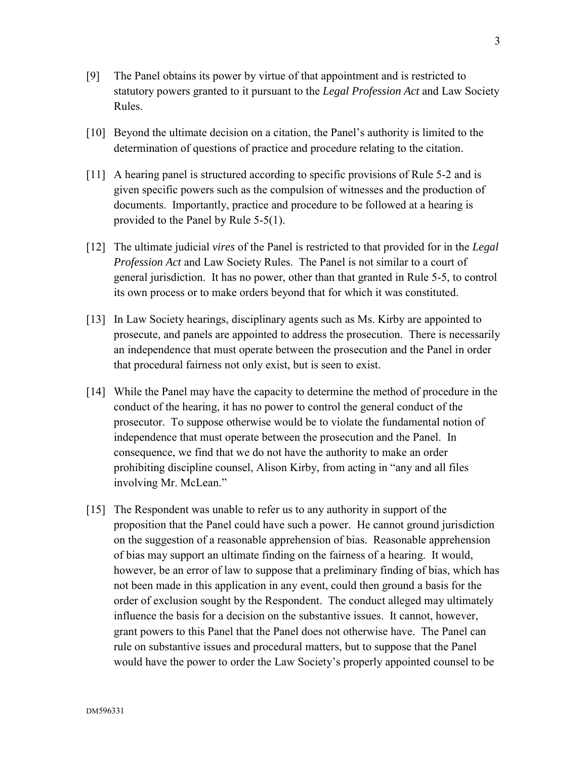- [9] The Panel obtains its power by virtue of that appointment and is restricted to statutory powers granted to it pursuant to the *Legal Profession Act* and Law Society Rules.
- [10] Beyond the ultimate decision on a citation, the Panel's authority is limited to the determination of questions of practice and procedure relating to the citation.
- [11] A hearing panel is structured according to specific provisions of Rule 5-2 and is given specific powers such as the compulsion of witnesses and the production of documents. Importantly, practice and procedure to be followed at a hearing is provided to the Panel by Rule 5-5(1).
- [12] The ultimate judicial *vires* of the Panel is restricted to that provided for in the *Legal Profession Act* and Law Society Rules. The Panel is not similar to a court of general jurisdiction. It has no power, other than that granted in Rule 5-5, to control its own process or to make orders beyond that for which it was constituted.
- [13] In Law Society hearings, disciplinary agents such as Ms. Kirby are appointed to prosecute, and panels are appointed to address the prosecution. There is necessarily an independence that must operate between the prosecution and the Panel in order that procedural fairness not only exist, but is seen to exist.
- [14] While the Panel may have the capacity to determine the method of procedure in the conduct of the hearing, it has no power to control the general conduct of the prosecutor. To suppose otherwise would be to violate the fundamental notion of independence that must operate between the prosecution and the Panel. In consequence, we find that we do not have the authority to make an order prohibiting discipline counsel, Alison Kirby, from acting in "any and all files involving Mr. McLean."
- [15] The Respondent was unable to refer us to any authority in support of the proposition that the Panel could have such a power. He cannot ground jurisdiction on the suggestion of a reasonable apprehension of bias. Reasonable apprehension of bias may support an ultimate finding on the fairness of a hearing. It would, however, be an error of law to suppose that a preliminary finding of bias, which has not been made in this application in any event, could then ground a basis for the order of exclusion sought by the Respondent. The conduct alleged may ultimately influence the basis for a decision on the substantive issues. It cannot, however, grant powers to this Panel that the Panel does not otherwise have. The Panel can rule on substantive issues and procedural matters, but to suppose that the Panel would have the power to order the Law Society's properly appointed counsel to be